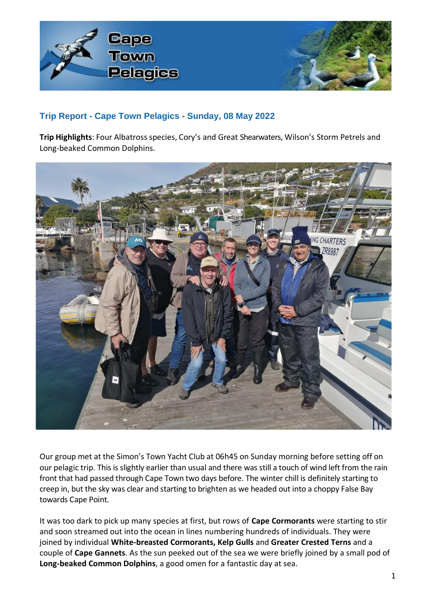

## **Trip Report - Cape Town Pelagics - Sunday, 08 May 2022**

Trip Highlights: Four Albatross species, Cory's and Great Shearwaters, Wilson's Storm Petrels and Long-beaked Common Dolphins.



Our group met at the Simon's Town Yacht Club at 06h45 on Sunday morning before setting off on our pelagic trip. This is slightly earlier than usual and there was still a touch of wind left from the rain front that had passed through Cape Town two days before. The winter chill is definitely starting to creep in, but the sky was clear and starting to brighten as we headed out into a choppy False Bay towards Cape Point*.* 

It was too dark to pick up many species at first, but rows of **Cape Cormorants** were starting to stir and soon streamed out into the ocean in lines numbering hundreds of individuals. They were joined by individual **White-breasted Cormorants, Kelp Gulls** and **Greater Crested Terns** and a couple of **Cape Gannets**. As the sun peeked out of the sea we were briefly joined by a small pod of **Long-beaked Common Dolphins**, a good omen for a fantastic day at sea.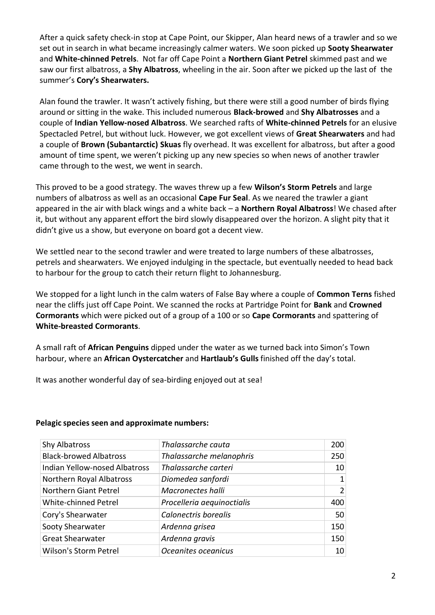After a quick safety check-in stop at Cape Point, our Skipper, Alan heard news of a trawler and so we set out in search in what became increasingly calmer waters. We soon picked up **Sooty Shearwater** and **White-chinned Petrels**. Not far off Cape Point a **Northern Giant Petrel** skimmed past and we saw our first albatross, a **Shy Albatross**, wheeling in the air. Soon after we picked up the last of the summer's **Cory's Shearwaters.** 

Alan found the trawler. It wasn't actively fishing, but there were still a good number of birds flying around or sitting in the wake. This included numerous **Black-browed** and **Shy Albatrosses** and a couple of **Indian Yellow-nosed Albatross**. We searched rafts of **White-chinned Petrels** for an elusive Spectacled Petrel, but without luck. However, we got excellent views of **Great Shearwaters** and had a couple of **Brown (Subantarctic) Skuas** fly overhead. It was excellent for albatross, but after a good amount of time spent, we weren't picking up any new species so when news of another trawler came through to the west, we went in search.

This proved to be a good strategy. The waves threw up a few **Wilson's Storm Petrels** and large numbers of albatross as well as an occasional **Cape Fur Seal**. As we neared the trawler a giant appeared in the air with black wings and a white back – a **Northern Royal Albatross**! We chased after it, but without any apparent effort the bird slowly disappeared over the horizon. A slight pity that it didn't give us a show, but everyone on board got a decent view.

We settled near to the second trawler and were treated to large numbers of these albatrosses, petrels and shearwaters. We enjoyed indulging in the spectacle, but eventually needed to head back to harbour for the group to catch their return flight to Johannesburg.

We stopped for a light lunch in the calm waters of False Bay where a couple of **Common Terns** fished near the cliffs just off Cape Point. We scanned the rocks at Partridge Point for **Bank** and **Crowned Cormorants** which were picked out of a group of a 100 or so **Cape Cormorants** and spattering of **White-breasted Cormorants**.

A small raft of **African Penguins** dipped under the water as we turned back into Simon's Town harbour, where an **African Oystercatcher** and **Hartlaub's Gulls** finished off the day's total.

It was another wonderful day of sea-birding enjoyed out at sea!

| Shy Albatross                        | Thalassarche cauta         | 200 |
|--------------------------------------|----------------------------|-----|
| <b>Black-browed Albatross</b>        | Thalassarche melanophris   | 250 |
| <b>Indian Yellow-nosed Albatross</b> | Thalassarche carteri       | 10  |
| Northern Royal Albatross             | Diomedea sanfordi          | 1   |
| Northern Giant Petrel                | Macronectes halli          | 2   |
| <b>White-chinned Petrel</b>          | Procelleria aequinoctialis | 400 |
| Cory's Shearwater                    | Calonectris borealis       | 50  |
| Sooty Shearwater                     | Ardenna grisea             | 150 |
| <b>Great Shearwater</b>              | Ardenna gravis             | 150 |
| <b>Wilson's Storm Petrel</b>         | Oceanites oceanicus        | 10  |

## **Pelagic species seen and approximate numbers:**